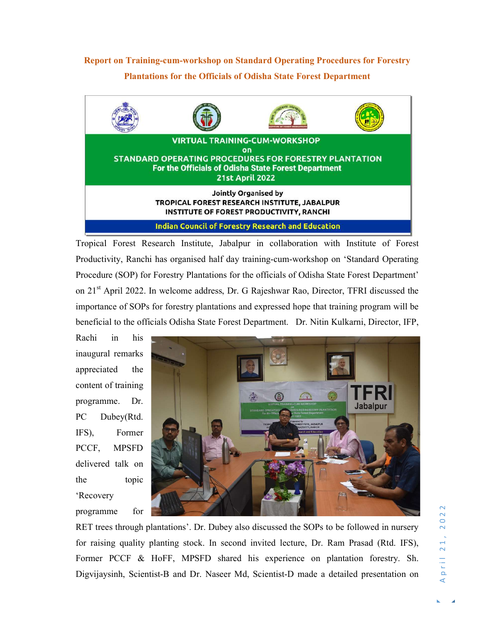## Report on Training-cum-workshop on Standard Operating Procedures for Forestry Plantations for the Officials of Odisha State Forest Department



Tropical Forest Research Institute, Jabalpur in collaboration with Institute of Forest Productivity, Ranchi has organised half day training-cum-workshop on 'Standard Operating Procedure (SOP) for Forestry Plantations for the officials of Odisha State Forest Department' on 21st April 2022. In welcome address, Dr. G Rajeshwar Rao, Director, TFRI discussed the importance of SOPs for forestry plantations and expressed hope that training program will be beneficial to the officials Odisha State Forest Department. Dr. Nitin Kulkarni, Director, IFP,

Rachi in his inaugural remarks appreciated the content of training programme. Dr. PC Dubey(Rtd. IFS), Former PCCF, MPSFD delivered talk on the topic 'Recovery



RET trees through plantations'. Dr. Dubey also discussed the SOPs to be followed in nursery<br>for raising quality planting stock. In second invited lecture, Dr. Ram Prasad (Rtd. IFS),<br>Former PCCF & HoFF, MPSFD shared his ex for raising quality planting stock. In second invited lecture, Dr. Ram Prasad (Rtd. IFS), Former PCCF & HoFF, MPSFD shared his experience on plantation forestry. Sh. Digvijaysinh, Scientist-B and Dr. Naseer Md, Scientist-D made a detailed presentation on